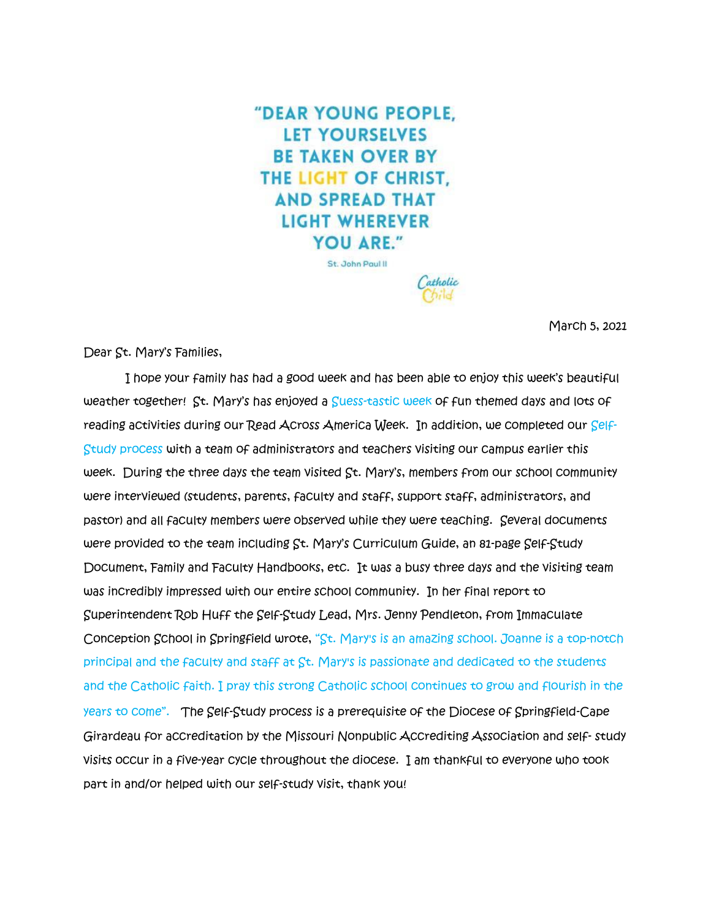"DEAR YOUNG PEOPLE. **LET YOURSELVES BE TAKEN OVER BY** THE LIGHT OF CHRIST. **AND SPREAD THAT LIGHT WHEREVER** YOU ARE." St. John Paul II

atholi

March 5, 2021

Dear St. Mary's Families,

 I hope your family has had a good week and has been able to enjoy this week's beautiful weather together! St. Mary's has enjoyed a Suess-tastic week of fun themed days and lots of reading activities during our Read Across America Week. In addition, we completed our Self-Study process with a team of administrators and teachers visiting our campus earlier this week. During the three days the team visited St. Mary's, members from our school community were interviewed (students, parents, faculty and staff, support staff, administrators, and pastor) and all faculty members were observed while they were teaching. Several documents were provided to the team including St. Mary's Curriculum Guide, an 81-page Self-Study Document, Family and Faculty Handbooks, etc. It was a busy three days and the visiting team was incredibly impressed with our entire school community. In her final report to Superintendent Rob Huff the Self-Study Lead, Mrs. Jenny Pendleton, from Immaculate Conception School in Springfield wrote, "St. Mary's is an amazing school. Joanne is a top-notch principal and the faculty and staff at St. Mary's is passionate and dedicated to the students and the Catholic faith. I pray this strong Catholic school continues to grow and flourish in the years to come". The Self-Study process is a prerequisite of the Diocese of Springfield-Cape Girardeau for accreditation by the Missouri Nonpublic Accrediting Association and self- study visits occur in a five-year cycle throughout the diocese. I am thankful to everyone who took part in and/or helped with our self-study visit, thank you!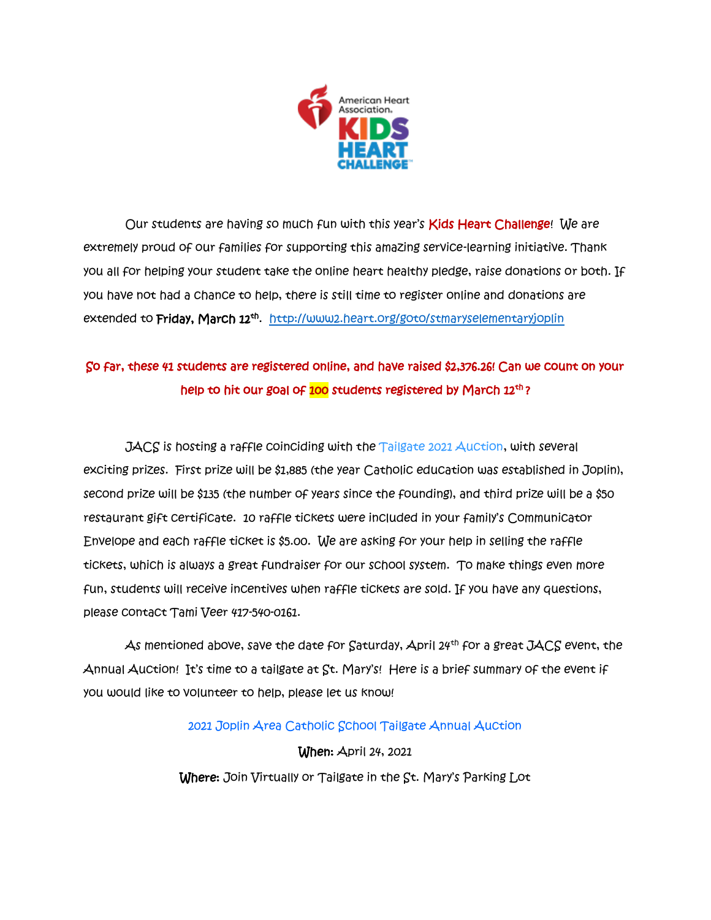

Our students are having so much fun with this year's Kids Heart Challenge! We are extremely proud of our families for supporting this amazing service-learning initiative. Thank you all for helping your student take the online heart healthy pledge, raise donations or both. If you have not had a chance to help, there is still time to register online and donations are extended to **Friday, March 12<sup>th</sup>**. <u><http://www2.heart.org/goto/stmaryselementaryjoplin></u>

# So far, these 41 students are registered online, and have raised \$2,376.26! Can we count on your help to hit our goal of 100 students registered by March 12<sup>th</sup>?

 $JACS$  is hosting a raffle coinciding with the  $Tailgate$  2021  $A$ uction, with several exciting prizes. First prize will be \$1,885 (the year Catholic education was established in Joplin), second prize will be \$135 (the number of years since the founding), and third prize will be a \$50 restaurant gift certificate. 10 raffle tickets were included in your family's Communicator Envelope and each raffle ticket is \$5.00. We are asking for your help in selling the raffle tickets, which is always a great fundraiser for our school system. To make things even more fun, students will receive incentives when raffle tickets are sold. If you have any questions, please contact Tami Veer 417-540-0161.

As mentioned above, save the date for  $S$ aturday, April 24<sup>th</sup> for a great JACS event, the Annual Auction! It's time to a tailgate at St. Mary's! Here is a brief summary of the event if you would like to volunteer to help, please let us know!

# 2021 Joplin Area Catholic School Tailgate Annual Auction

When: April 24, 2021 Where: Join Virtually or Tailgate in the St. Mary's Parking Lot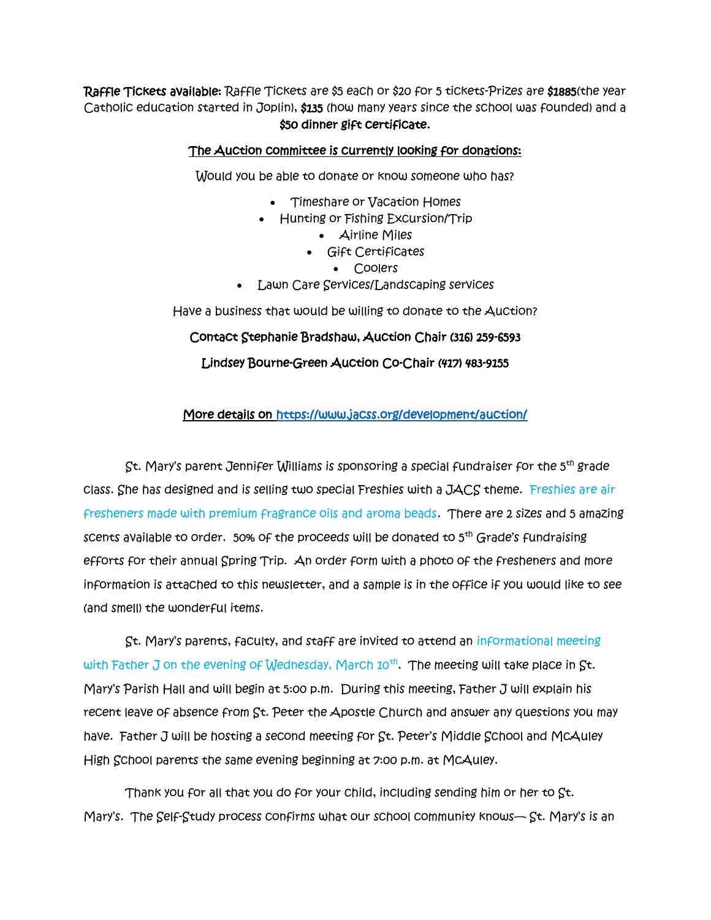Raffle Tickets available: Raffle Tickets are \$5 each or \$20 for 5 tickets-Prizes are \$1885(the year Catholic education started in Joplin), \$135 (how many years since the school was founded) and a \$50 dinner gift certificate.

### The Auction committee is currently looking for donations:

Would you be able to donate or know someone who has?

- Timeshare or Vacation Homes
- Hunting or Fishing Excursion/Trip
	- Airline Miles
	- Gift Certificates
		- Coolers
- Lawn Care Services/Landscaping services

Have a business that would be willing to donate to the Auction?

# Contact Stephanie Bradshaw, Auction Chair (316) 259-6593

Lindsey Bourne-Green Auction Co-Chair (417) 483-9155

# More details on<https://www.jacss.org/development/auction/>

 St. Mary's parent Jennifer Williams is sponsoring a special fundraiser for the 5th grade class. She has designed and is selling two special Freshies with a JACS theme. Freshies are air fresheners made with premium fragrance oils and aroma beads. There are 2 sizes and 5 amazing scents available to order. 50% of the proceeds will be donated to  $5<sup>th</sup>$  Grade's fundraising efforts for their annual Spring Trip. An order form with a photo of the fresheners and more information is attached to this newsletter, and a sample is in the office if you would like to see (and smell) the wonderful items.

 St. Mary's parents, faculty, and staff are invited to attend an informational meeting with Father J on the evening of Wednesday, March 10<sup>th</sup>. The meeting will take place in St. Mary's Parish Hall and will begin at 5:00 p.m. During this meeting, Father J will explain his recent leave of absence from St. Peter the Apostle Church and answer any questions you may have. Father J will be hosting a second meeting for St. Peter's Middle School and McAuley High School parents the same evening beginning at 7:00 p.m. at McAuley.

 Thank you for all that you do for your child, including sending him or her to St. Mary's. The Self-Study process confirms what our school community knows— St. Mary's is an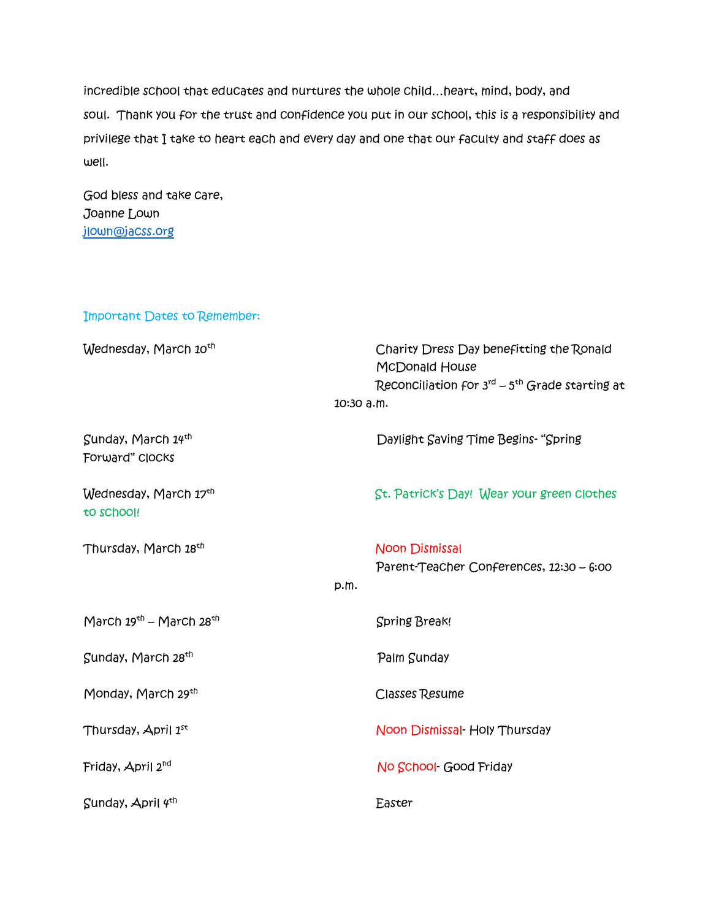incredible school that educates and nurtures the whole child…heart, mind, body, and soul. Thank you for the trust and confidence you put in our school, this is a responsibility and privilege that I take to heart each and every day and one that our faculty and staff does as well.

God bless and take care, Joanne Lown [jlown@jacss.org](mailto:jlown@jacss.org)

| Important Dates to Remember:          |                                                                                                                                             |
|---------------------------------------|---------------------------------------------------------------------------------------------------------------------------------------------|
| Wednesday, March 10 <sup>th</sup>     | Charity Dress Day benefitting the Ronald<br><b>McDonald House</b><br>Reconciliation for $3^{rd}$ – $5^{th}$ Grade starting at<br>10:30 a.m. |
| Sunday, March 14th<br>Forward" Clocks | Daylight Saving Time Begins- "Spring                                                                                                        |
| Wednesday, March 17th<br>to school!   | St. Patrick's Day! Wear your green clothes                                                                                                  |
| Thursday, March 18 <sup>th</sup>      | <b>Noon Dismissal</b><br>Parent-Teacher Conferences, 12:30 - 6:00<br>p.m.                                                                   |
| March $19th$ – March $28th$           | <b>Spring Break!</b>                                                                                                                        |
| Sunday, March 28 <sup>th</sup>        | Palm Sunday                                                                                                                                 |
| Monday, March 29th                    | <b>Classes Resume</b>                                                                                                                       |
| Thursday, April 1st                   | Noon Dismissal Holy Thursday                                                                                                                |
| Friday, April 2 <sup>nd</sup>         | No School- Good Friday                                                                                                                      |
| Sunday, April 4th                     | Easter                                                                                                                                      |